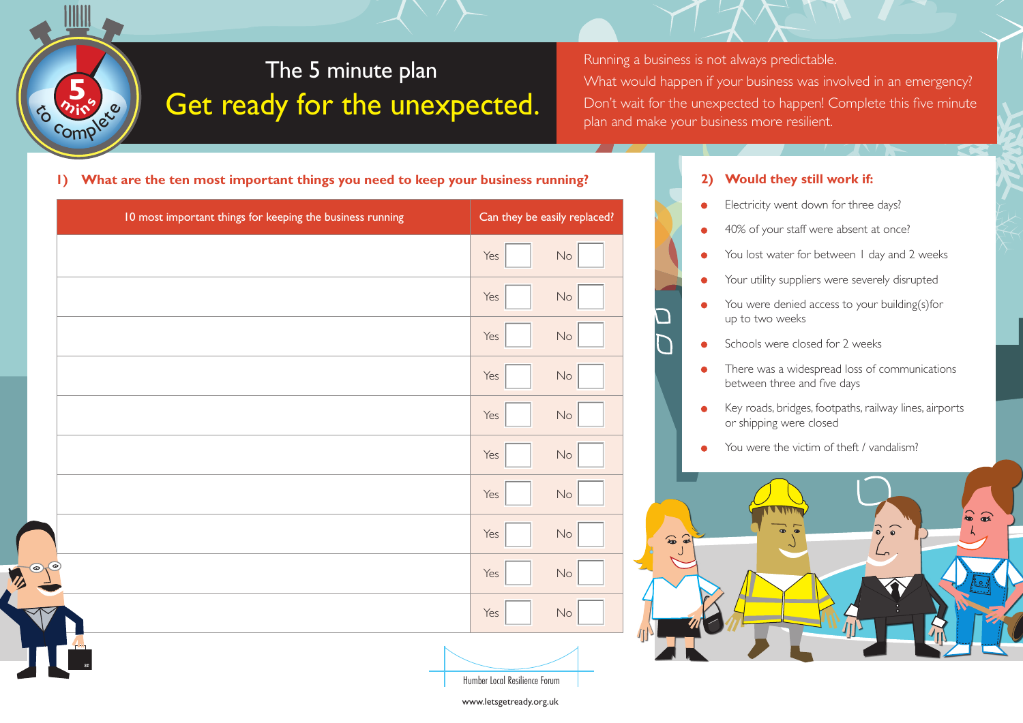## The 5 minute plan Get ready for the unexpected.

Running a business is not always predictable. What would happen if your business was involved in an emergency? Don't wait for the unexpected to happen! Complete this five minute plan and make your business more resilient.

**1) What are the ten most important things you need to keep your business running? 2) Would they still work if:**

 $\frac{b}{c}$  complete

 $\frac{5}{25}$ 

|         | 10 most important things for keeping the business running |                               | Can they be easily replaced? |  |
|---------|-----------------------------------------------------------|-------------------------------|------------------------------|--|
|         |                                                           | Yes                           | $\mathsf{No}$                |  |
|         |                                                           | Yes                           | $\mathsf{No}$                |  |
|         |                                                           | Yes                           | $\mathsf{No}$                |  |
|         |                                                           | Yes                           | $\mathsf{No}$                |  |
|         |                                                           | Yes                           | $\mathsf{No}$                |  |
|         |                                                           | Yes                           | $\mathsf{No}$                |  |
|         |                                                           | Yes                           | $\mathsf{No}$                |  |
|         |                                                           | Yes                           | $\mathsf{No}$                |  |
| $\odot$ |                                                           | Yes                           | $\mathsf{No}$                |  |
|         |                                                           | Yes                           | $\mathsf{No}$                |  |
|         |                                                           |                               |                              |  |
|         |                                                           | Humber Local Resilience Forum |                              |  |

- Electricity went down for three days? ă
- 40% of your staff were absent at once?  $\bullet$
- You lost water for between 1 day and 2 weeks ŏ
- Your utility suppliers were severely disrupted  $\bullet$
- You were denied access to your building(s)for  $\bullet$ up to two weeks
- Schools were closed for 2 weeks
- There was a widespread loss of communications  $\bullet$ between three and five days
- Key roads, bridges, footpaths, railway lines, airports  $\bullet$ or shipping were closed
- You were the victim of theft / vandalism?



www.letsgetready.org.uk